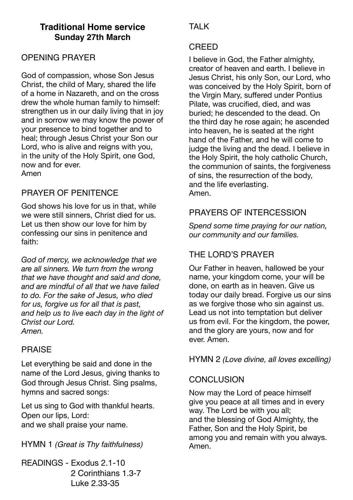# **Traditional Home service Sunday 27th March**

## OPENING PRAYER

God of compassion, whose Son Jesus Christ, the child of Mary, shared the life of a home in Nazareth, and on the cross drew the whole human family to himself: strengthen us in our daily living that in joy and in sorrow we may know the power of your presence to bind together and to heal; through Jesus Christ your Son our Lord, who is alive and reigns with you, in the unity of the Holy Spirit, one God, now and for ever. Amen

## PRAYER OF PENITENCE

God shows his love for us in that, while we were still sinners, Christ died for us. Let us then show our love for him by confessing our sins in penitence and faith:

*God of mercy, we acknowledge that we are all sinners. We turn from the wrong that we have thought and said and done, and are mindful of all that we have failed to do. For the sake of Jesus, who died for us, forgive us for all that is past, and help us to live each day in the light of Christ our Lord. Amen.* 

### PRAISE

Let everything be said and done in the name of the Lord Jesus, giving thanks to God through Jesus Christ. Sing psalms, hymns and sacred songs:

Let us sing to God with thankful hearts. Open our lips, Lord: and we shall praise your name.

HYMN 1 *(Great is Thy faithfulness)*

READINGS - Exodus 2.1-10 2 Corinthians 1.3-7 Luke 2.33-35

# **TAI K**

### CREED

I believe in God, the Father almighty, creator of heaven and earth. I believe in Jesus Christ, his only Son, our Lord, who was conceived by the Holy Spirit, born of the Virgin Mary, suffered under Pontius Pilate, was crucified, died, and was buried; he descended to the dead. On the third day he rose again; he ascended into heaven, he is seated at the right hand of the Father, and he will come to judge the living and the dead. I believe in the Holy Spirit, the holy catholic Church, the communion of saints, the forgiveness of sins, the resurrection of the body, and the life everlasting. Amen.

## PRAYERS OF INTERCESSION

*Spend some time praying for our nation, our community and our families.* 

# THE LORD'S PRAYER

Our Father in heaven, hallowed be your name, your kingdom come, your will be done, on earth as in heaven. Give us today our daily bread. Forgive us our sins as we forgive those who sin against us. Lead us not into temptation but deliver us from evil. For the kingdom, the power, and the glory are yours, now and for ever. Amen.

HYMN 2 *(Love divine, all loves excelling)*

### **CONCLUSION**

Now may the Lord of peace himself give you peace at all times and in every way. The Lord be with you all; and the blessing of God Almighty, the Father, Son and the Holy Spirit, be among you and remain with you always. Amen.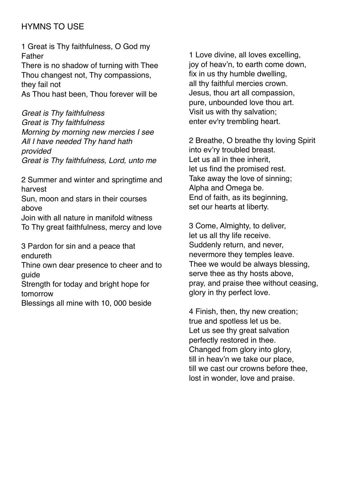## HYMNS TO USE

1 Great is Thy faithfulness, O God my Father

There is no shadow of turning with Thee Thou changest not, Thy compassions, they fail not As Thou hast been, Thou forever will be

*Great is Thy faithfulness Great is Thy faithfulness Morning by morning new mercies I see All I have needed Thy hand hath provided Great is Thy faithfulness, Lord, unto me*

2 Summer and winter and springtime and harvest

Sun, moon and stars in their courses above

Join with all nature in manifold witness To Thy great faithfulness, mercy and love

3 Pardon for sin and a peace that endureth

Thine own dear presence to cheer and to guide

Strength for today and bright hope for tomorrow

Blessings all mine with 10, 000 beside

1 Love divine, all loves excelling, joy of heav'n, to earth come down, fix in us thy humble dwelling, all thy faithful mercies crown. Jesus, thou art all compassion, pure, unbounded love thou art. Visit us with thy salvation; enter ev'ry trembling heart.

2 Breathe, O breathe thy loving Spirit into ev'ry troubled breast. Let us all in thee inherit, let us find the promised rest. Take away the love of sinning; Alpha and Omega be. End of faith, as its beginning, set our hearts at liberty.

3 Come, Almighty, to deliver, let us all thy life receive. Suddenly return, and never, nevermore they temples leave. Thee we would be always blessing, serve thee as thy hosts above, pray, and praise thee without ceasing, glory in thy perfect love.

4 Finish, then, thy new creation; true and spotless let us be. Let us see thy great salvation perfectly restored in thee. Changed from glory into glory, till in heav'n we take our place, till we cast our crowns before thee, lost in wonder, love and praise.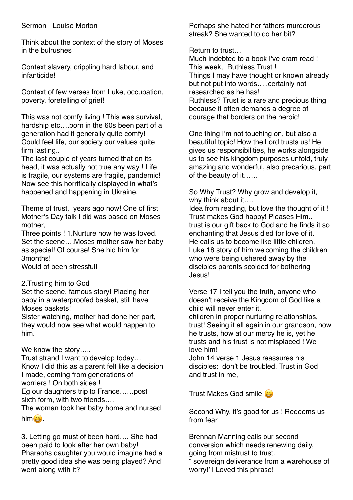#### Sermon - Louise Morton

Think about the context of the story of Moses in the bulrushes

Context slavery, crippling hard labour, and infanticide!

Context of few verses from Luke, occupation, poverty, foretelling of grief!

This was not comfy living ! This was survival, hardship etc....born in the 60s been part of a generation had it generally quite comfy! Could feel life, our society our values quite firm lasting..

The last couple of years turned that on its head, it was actually not true any way ! Life is fragile, our systems are fragile, pandemic! Now see this horrifically displayed in what's happened and happening in Ukraine.

Theme of trust, years ago now! One of first Mother's Day talk I did was based on Moses mother

Three points ! 1.Nurture how he was loved. Set the scene….Moses mother saw her baby as special! Of course! She hid him for 3months!

Would of been stressful!

#### 2.Trusting him to God

Set the scene, famous story! Placing her baby in a waterproofed basket, still have Moses baskets!

Sister watching, mother had done her part, they would now see what would happen to him.

We know the story.....

Trust strand I want to develop today… Know I did this as a parent felt like a decision I made, coming from generations of worriers ! On both sides ! Eg our daughters trip to France……post sixth form, with two friends….

The woman took her baby home and nursed him $\bigcirc$ .

3. Letting go must of been hard…. She had been paid to look after her own baby! Pharaohs daughter you would imagine had a pretty good idea she was being played? And went along with it?

Perhaps she hated her fathers murderous streak? She wanted to do her bit?

#### Return to trust…

Much indebted to a book I've cram read ! This week, Ruthless Trust ! Things I may have thought or known already but not put into words…..certainly not researched as he has! Ruthless? Trust is a rare and precious thing because it often demands a degree of courage that borders on the heroic!

One thing I'm not touching on, but also a beautiful topic! How the Lord trusts us! He gives us responsibilities, he works alongside us to see his kingdom purposes unfold, truly amazing and wonderful, also precarious, part of the beauty of it……

So Why Trust? Why grow and develop it, why think about it….

Idea from reading, but love the thought of it ! Trust makes God happy! Pleases Him.. trust is our gift back to God and he finds it so enchanting that Jesus died for love of it. He calls us to become like little children, Luke 18 story of him welcoming the children who were being ushered away by the disciples parents scolded for bothering Jesus!

Verse 17 I tell you the truth, anyone who doesn't receive the Kingdom of God like a child will never enter it.

children in proper nurturing relationships, trust! Seeing it all again in our grandson, how he trusts, how at our mercy he is, yet he trusts and his trust is not misplaced ! We love him!

John 14 verse 1 Jesus reassures his disciples: don't be troubled, Trust in God and trust in me,

Trust Makes God smile

Second Why, it's good for us ! Redeems us from fear

Brennan Manning calls our second conversion which needs renewing daily, going from mistrust to trust.

sovereign deliverance from a warehouse of worry!' I Loved this phrase!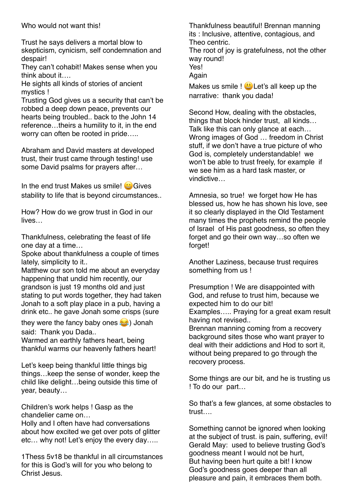### Who would not want this!

Trust he says delivers a mortal blow to skepticism, cynicism, self condemnation and despair!

They can't cohabit! Makes sense when you think about it….

He sights all kinds of stories of ancient mystics !

Trusting God gives us a security that can't be robbed a deep down peace, prevents our hearts being troubled.. back to the John 14 reference…theirs a humility to it, in the end worry can often be rooted in pride…..

Abraham and David masters at developed trust, their trust came through testing! use some David psalms for prayers after…

In the end trust Makes us smile!  $\bigcirc$  Gives stability to life that is beyond circumstances..

How? How do we grow trust in God in our lives…

Thankfulness, celebrating the feast of life one day at a time…

Spoke about thankfulness a couple of times lately, simplicity to it..

Matthew our son told me about an everyday happening that undid him recently, our grandson is just 19 months old and just stating to put words together, they had taken Jonah to a soft play place in a pub, having a drink etc.. he gave Jonah some crisps (sure

they were the fancy baby ones  $\geq$ ) Jonah said: Thank you Dada..

Warmed an earthly fathers heart, being thankful warms our heavenly fathers heart!

Let's keep being thankful little things big things…keep the sense of wonder, keep the child like delight…being outside this time of year, beauty…

Children's work helps ! Gasp as the chandelier came on…

Holly and I often have had conversations about how excited we get over pots of glitter etc… why not! Let's enjoy the every day…..

1Thess 5v18 be thankful in all circumstances for this is God's will for you who belong to Christ Jesus.

Thankfulness beautiful! Brennan manning its : Inclusive, attentive, contagious, and Theo centric. The root of joy is gratefulness, not the other way round! **Yes!** 

Again

Makes us smile !  $\bigcup$  Let's all keep up the narrative: thank you dada!

Second How, dealing with the obstacles, things that block hinder trust, all kinds… Talk like this can only glance at each… Wrong images of God … freedom in Christ stuff, if we don't have a true picture of who God is, completely understandable! we won't be able to trust freely, for example if we see him as a hard task master, or vindictive…

Amnesia, so true! we forget how He has blessed us, how he has shown his love, see it so clearly displayed in the Old Testament many times the prophets remind the people of Israel of His past goodness, so often they forget and go their own way…so often we forget!

Another Laziness, because trust requires something from us !

Presumption ! We are disappointed with God, and refuse to trust him, because we expected him to do our bit! Examples….. Praying for a great exam result having not revised.. Brennan manning coming from a recovery background sites those who want prayer to deal with their addictions and Hod to sort it, without being prepared to go through the recovery process.

Some things are our bit, and he is trusting us ! To do our part…

So that's a few glances, at some obstacles to trust….

Something cannot be ignored when looking at the subject of trust. is pain, suffering, evil! Gerald May: used to believe trusting God's goodness meant I would not be hurt, But having been hurt quite a bit! I know God's goodness goes deeper than all pleasure and pain, it embraces them both.